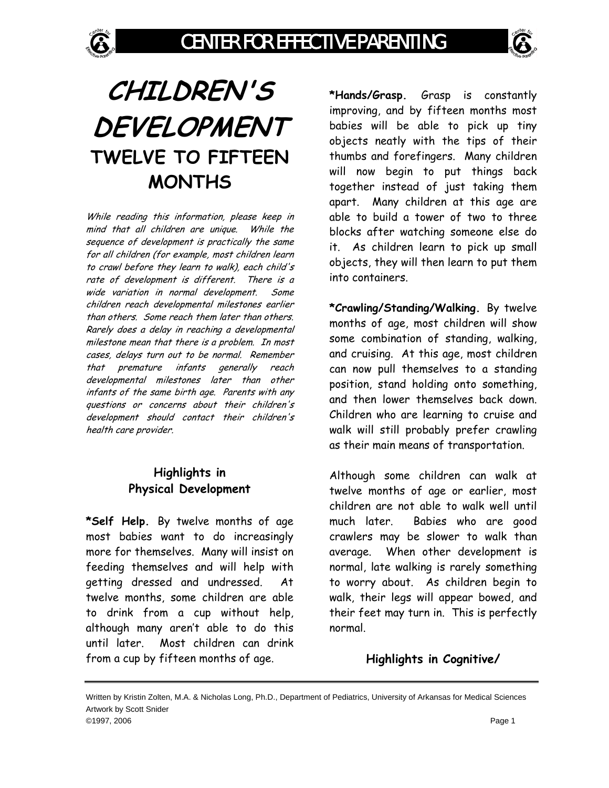# **CHILDREN'S DEVELOPMENT TWELVE TO FIFTEEN MONTHS**

While reading this information, please keep in mind that all children are unique. While the sequence of development is practically the same for all children (for example, most children learn to crawl before they learn to walk), each child's rate of development is different. There is a wide variation in normal development. Some children reach developmental milestones earlier than others. Some reach them later than others. Rarely does a delay in reaching a developmental milestone mean that there is a problem. In most cases, delays turn out to be normal. Remember that premature infants generally reach developmental milestones later than other infants of the same birth age. Parents with any questions or concerns about their children's development should contact their children's health care provider.

### **Highlights in Physical Development**

**\*Self Help.** By twelve months of age most babies want to do increasingly more for themselves. Many will insist on feeding themselves and will help with getting dressed and undressed. At twelve months, some children are able to drink from a cup without help, although many aren't able to do this until later. Most children can drink from a cup by fifteen months of age.

**\*Hands/Grasp.** Grasp is constantly improving, and by fifteen months most babies will be able to pick up tiny objects neatly with the tips of their thumbs and forefingers. Many children will now begin to put things back together instead of just taking them apart. Many children at this age are able to build a tower of two to three blocks after watching someone else do it. As children learn to pick up small objects, they will then learn to put them into containers.

**\*Crawling/Standing/Walking.** By twelve months of age, most children will show some combination of standing, walking, and cruising. At this age, most children can now pull themselves to a standing position, stand holding onto something, and then lower themselves back down. Children who are learning to cruise and walk will still probably prefer crawling as their main means of transportation.

Although some children can walk at twelve months of age or earlier, most children are not able to walk well until much later. Babies who are good crawlers may be slower to walk than average. When other development is normal, late walking is rarely something to worry about. As children begin to walk, their legs will appear bowed, and their feet may turn in. This is perfectly normal.

## **Highlights in Cognitive/**

Written by Kristin Zolten, M.A. & Nicholas Long, Ph.D., Department of Pediatrics, University of Arkansas for Medical Sciences Artwork by Scott Snider ©1997, 2006 Page 1